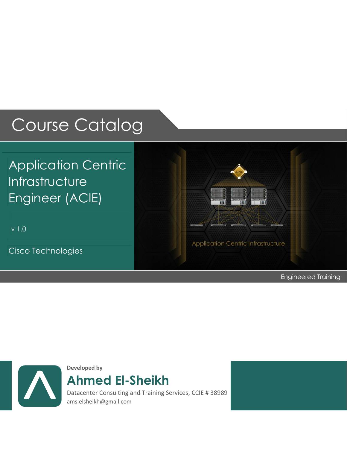# Course Catalog

# Application Centric Infrastructure Engineer (ACIE)

v 1.0

Cisco Technologies



Engineered Training



**Developed by**

**Ahmed El-Sheikh**

 ams.elsheikh@gmail.com Datacenter Consulting and Training Services, CCIE # 38989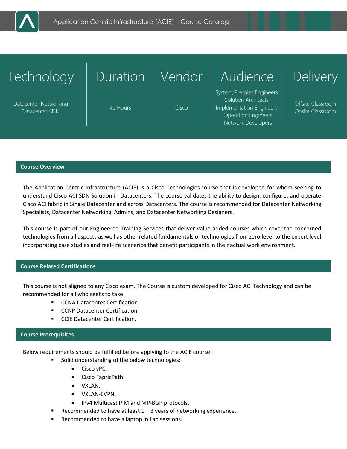

| Technology                              | Duration | Vendor | Audience                                                                                                                         | <b>Delivery</b>                       |
|-----------------------------------------|----------|--------|----------------------------------------------------------------------------------------------------------------------------------|---------------------------------------|
| Datacenter Networking<br>Datacenter SDN | 40 Hours | Cisco  | System/Presales Engineers<br>Solution Architects<br>Implementation Engineers<br><b>Operation Engineers</b><br>Network Developers | Offsite Classroom<br>Onsite Classroom |

#### **Course Overview**

The Application Centric Infrastructure (ACIE) is a Cisco Technologies course that is developed for whom seeking to understand Cisco ACI SDN Solution in Datacenters. The course validates the ability to design, configure, and operate Cisco ACI fabric in Single Datacenter and across Datacenters. The course is recommended for Datacenter Networking Specialists, Datacenter Networking Admins, and Datacenter Networking Designers.

This course is part of our Engineered Training Services that deliver value-added courses which cover the concerned technologies from all aspects as well as other related fundamentals or technologies from zero level to the expert level incorporating case studies and real-life scenarios that benefit participants in their actual work environment.

### **Course Related Certifications**

This course is not aligned to any Cisco exam. The Course is custom developed for Cisco ACI Technology and can be recommended for all who seeks to take:

- **EXECONA Datacenter Certification**
- **EXECONP Datacenter Certification**
- **CCIE Datacenter Certification.**

#### **Course Prerequisites**

Below requirements should be fulfilled before applying to the ACIE course:

- **Solid understanding of the below technologies:** 
	- Cisco vPC.
	- Cisco FapricPath.
	- VXLAN.
	- VXLAN-EVPN.
	- IPv4 Multicast PIM and MP-BGP protocols.
- Recommended to have at least  $1 3$  years of networking experience.
- Recommended to have a laptop in Lab sessions.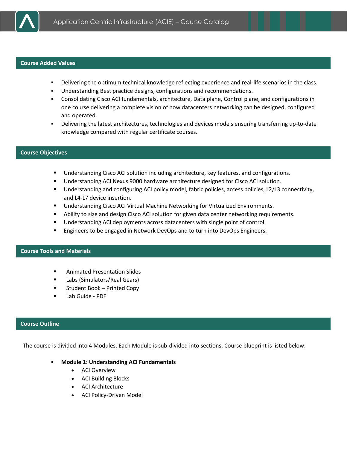

#### **Course Added Values**

- Delivering the optimum technical knowledge reflecting experience and real-life scenarios in the class.
- Understanding Best practice designs, configurations and recommendations.
- Consolidating Cisco ACI fundamentals, architecture, Data plane, Control plane, and configurations in one course delivering a complete vision of how datacenters networking can be designed, configured and operated.
- Delivering the latest architectures, technologies and devices models ensuring transferring up-to-date knowledge compared with regular certificate courses.

### **Course Objectives**

- Understanding Cisco ACI solution including architecture, key features, and configurations.
- Understanding ACI Nexus 9000 hardware architecture designed for Cisco ACI solution.
- Understanding and configuring ACI policy model, fabric policies, access policies, L2/L3 connectivity, and L4-L7 device insertion.
- Understanding Cisco ACI Virtual Machine Networking for Virtualized Environments.
- Ability to size and design Cisco ACI solution for given data center networking requirements.
- Understanding ACI deployments across datacenters with single point of control.
- **Engineers to be engaged in Network DevOps and to turn into DevOps Engineers.**

### **Course Tools and Materials**

- Animated Presentation Slides
- **Example 1** Labs (Simulators/Real Gears)
- Student Book Printed Copy
- Lab Guide PDF

# **Course Outline**

The course is divided into 4 Modules. Each Module is sub-divided into sections. Course blueprint is listed below:

- **Module 1: Understanding ACI Fundamentals**
	- ACI Overview
	- ACI Building Blocks
	- ACI Architecture
	- ACI Policy-Driven Model